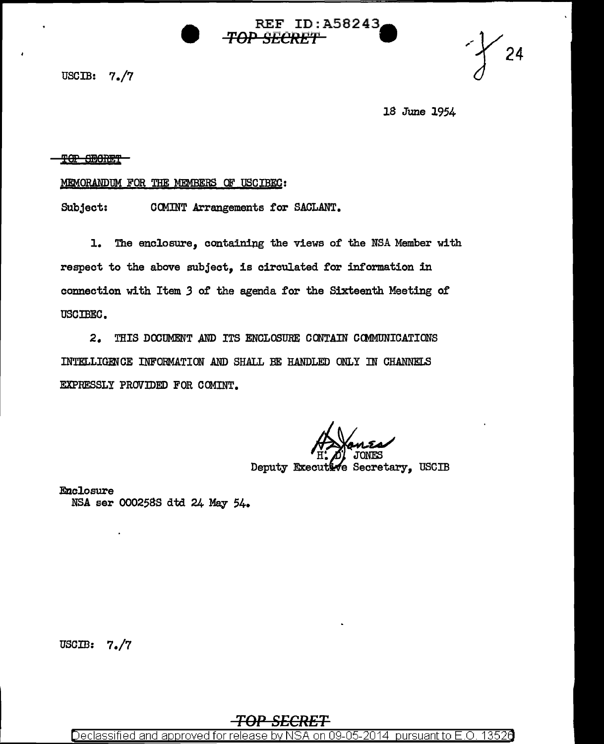USCIB: 7./7



18 June 1954

## TOP SECRET

## MEMORANPUM FOR THE MEMBERS OF USCIBEC:

Subject: COMINT Arrangements for SACLANT.

l. The enclosure, containing the views 0£ the NSA Member with respect to the above subject, is circulated for information in connection with Item *3* of the agenda for the Sixteenth Meeting of USCIBEC.

2. THIS DOCUMENT AND ITS ENCLOSURE CONTAIN COMMUNICATIONS INTELLIGENCE INFORMATION AND SHALL BE HANDLED ONLY IN CHANNELS EXPRESSLY PROVIDED FOR COMINT.

REF ID:A58243a

TOP SECRET **\*\*\*\*\*\*\*\*\*\*\*\*\*\*\*\*\*\*\*\*\*\*\*\*\*\*\*\*\*\*\*\*** 

Deputy Executive Secretary, USCIB

Enclosure NSA ser 0002588 dtd 24 May 54.

uscm: 7./7

## *TOP SECRET*

Declassified and approved for release by NSA on 09-05-2014 pursuant to E.O. 13526